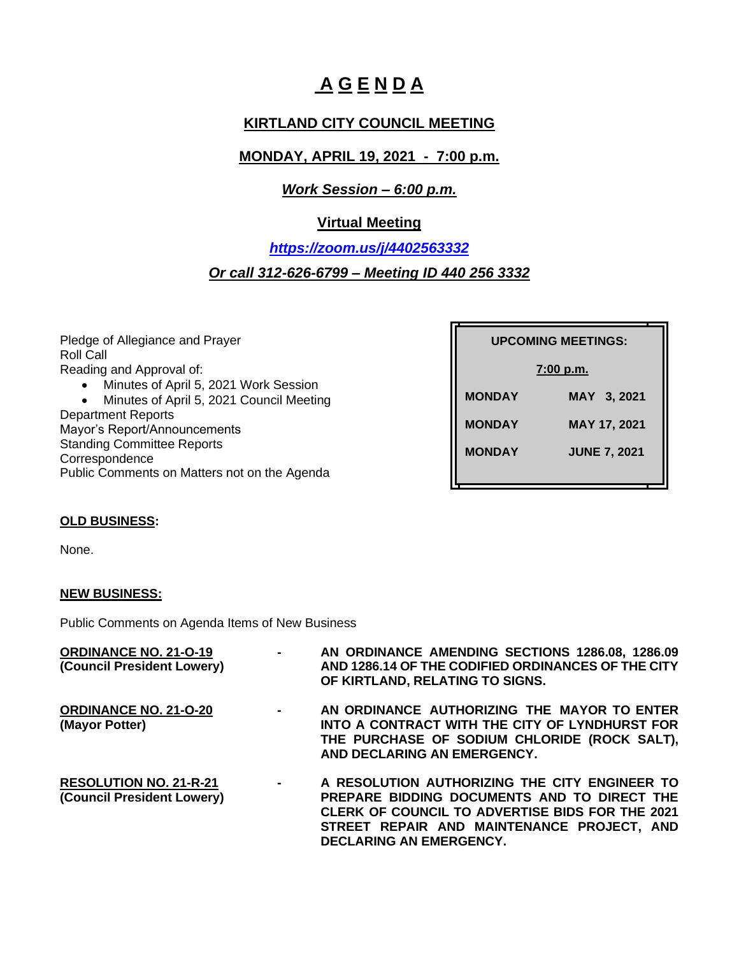# **A G E N D A**

## **KIRTLAND CITY COUNCIL MEETING**

## **MONDAY, APRIL 19, 2021 - 7:00 p.m.**

#### *Work Session – 6:00 p.m.*

## **Virtual Meeting**

*<https://zoom.us/j/4402563332> Or call 312-626-6799 – Meeting ID 440 256 3332*

Pledge of Allegiance and Prayer Roll Call Reading and Approval of: • Minutes of April 5, 2021 Work Session • Minutes of April 5, 2021 Council Meeting Department Reports Mayor's Report/Announcements Standing Committee Reports Correspondence Public Comments on Matters not on the Agenda **UPCOMING MEETINGS: UPCOMING MEETINGS: 7:00 p.m. MONDAY MAY 3, 2021 MONDAY MAY 17, 2021 MONDAY JUNE 7, 2021**

#### **OLD BUSINESS:**

None.

#### **NEW BUSINESS:**

Public Comments on Agenda Items of New Business

| <b>ORDINANCE NO. 21-O-19</b><br>(Council President Lowery) | $\sim 100$ | AN ORDINANCE AMENDING SECTIONS 1286.08, 1286.09<br>AND 1286.14 OF THE CODIFIED ORDINANCES OF THE CITY |
|------------------------------------------------------------|------------|-------------------------------------------------------------------------------------------------------|
|                                                            |            | OF KIRTLAND, RELATING TO SIGNS.                                                                       |
| <b>ORDINANCE NO. 21-O-20</b>                               | $\sim$     | AN ORDINANCE AUTHORIZING THE MAYOR TO ENTER                                                           |
| (Mayor Potter)                                             |            | INTO A CONTRACT WITH THE CITY OF LYNDHURST FOR                                                        |
|                                                            |            | THE PURCHASE OF SODIUM CHLORIDE (ROCK SALT),                                                          |
|                                                            |            | AND DECLARING AN EMERGENCY.                                                                           |
| <b>RESOLUTION NO. 21-R-21</b>                              | $\sim$     | A RESOLUTION AUTHORIZING THE CITY ENGINEER TO                                                         |
| (Council President Lowery)                                 |            | PREPARE BIDDING DOCUMENTS AND TO DIRECT THE                                                           |
|                                                            |            | <b>CLERK OF COUNCIL TO ADVERTISE BIDS FOR THE 2021</b>                                                |
|                                                            |            | STREET REPAIR AND MAINTENANCE PROJECT, AND                                                            |
|                                                            |            | <b>DECLARING AN EMERGENCY.</b>                                                                        |